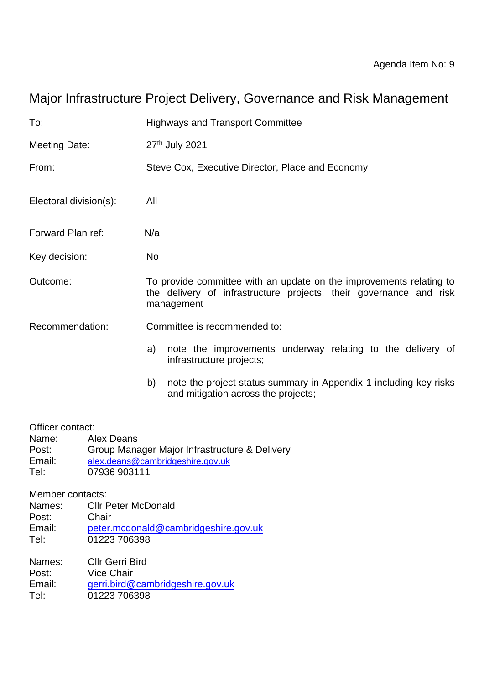# Major Infrastructure Project Delivery, Governance and Risk Management

| To:                                                                                                          | <b>Highways and Transport Committee</b>                                                                                                                 |  |  |  |  |  |  |  |  |  |
|--------------------------------------------------------------------------------------------------------------|---------------------------------------------------------------------------------------------------------------------------------------------------------|--|--|--|--|--|--|--|--|--|
| <b>Meeting Date:</b>                                                                                         | 27th July 2021                                                                                                                                          |  |  |  |  |  |  |  |  |  |
| From:                                                                                                        | Steve Cox, Executive Director, Place and Economy                                                                                                        |  |  |  |  |  |  |  |  |  |
| Electoral division(s):                                                                                       | All                                                                                                                                                     |  |  |  |  |  |  |  |  |  |
| Forward Plan ref:                                                                                            | N/a                                                                                                                                                     |  |  |  |  |  |  |  |  |  |
| Key decision:                                                                                                | <b>No</b>                                                                                                                                               |  |  |  |  |  |  |  |  |  |
| Outcome:                                                                                                     | To provide committee with an update on the improvements relating to<br>the delivery of infrastructure projects, their governance and risk<br>management |  |  |  |  |  |  |  |  |  |
| Recommendation:                                                                                              | Committee is recommended to:                                                                                                                            |  |  |  |  |  |  |  |  |  |
|                                                                                                              | note the improvements underway relating to the delivery of<br>a)<br>infrastructure projects;                                                            |  |  |  |  |  |  |  |  |  |
|                                                                                                              | b)<br>note the project status summary in Appendix 1 including key risks<br>and mitigation across the projects;                                          |  |  |  |  |  |  |  |  |  |
| Officer contact:<br>Name:<br><b>Alex Deans</b><br>Post:<br>Email:<br>Tel:<br>07936 903111                    | Group Manager Major Infrastructure & Delivery<br>alex.deans@cambridgeshire.gov.uk                                                                       |  |  |  |  |  |  |  |  |  |
| Member contacts:<br><b>Cllr Peter McDonald</b><br>Names:<br>Post:<br>Chair<br>Email:<br>01223 706398<br>Tel: | peter.mcdonald@cambridgeshire.gov.uk                                                                                                                    |  |  |  |  |  |  |  |  |  |
| <b>Cllr Gerri Bird</b><br>Names:<br><b>Vice Chair</b><br>Post:<br>Email:<br>01223 706398<br>Tel:             | gerri.bird@cambridgeshire.gov.uk                                                                                                                        |  |  |  |  |  |  |  |  |  |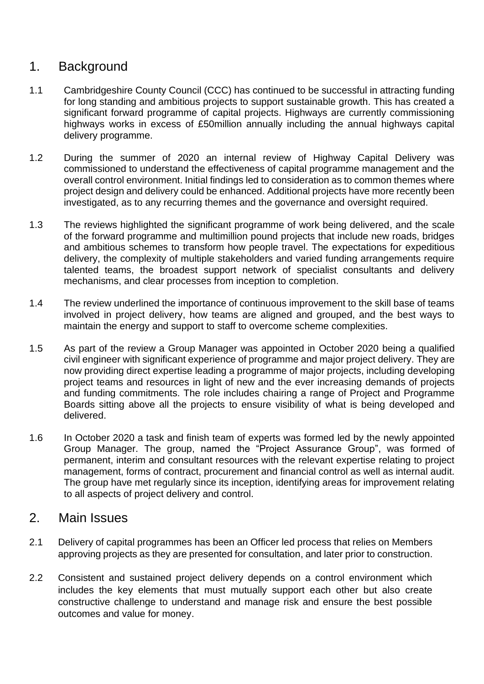## 1. Background

- 1.1 Cambridgeshire County Council (CCC) has continued to be successful in attracting funding for long standing and ambitious projects to support sustainable growth. This has created a significant forward programme of capital projects. Highways are currently commissioning highways works in excess of £50million annually including the annual highways capital delivery programme.
- 1.2 During the summer of 2020 an internal review of Highway Capital Delivery was commissioned to understand the effectiveness of capital programme management and the overall control environment. Initial findings led to consideration as to common themes where project design and delivery could be enhanced. Additional projects have more recently been investigated, as to any recurring themes and the governance and oversight required.
- 1.3 The reviews highlighted the significant programme of work being delivered, and the scale of the forward programme and multimillion pound projects that include new roads, bridges and ambitious schemes to transform how people travel. The expectations for expeditious delivery, the complexity of multiple stakeholders and varied funding arrangements require talented teams, the broadest support network of specialist consultants and delivery mechanisms, and clear processes from inception to completion.
- 1.4 The review underlined the importance of continuous improvement to the skill base of teams involved in project delivery, how teams are aligned and grouped, and the best ways to maintain the energy and support to staff to overcome scheme complexities.
- 1.5 As part of the review a Group Manager was appointed in October 2020 being a qualified civil engineer with significant experience of programme and major project delivery. They are now providing direct expertise leading a programme of major projects, including developing project teams and resources in light of new and the ever increasing demands of projects and funding commitments. The role includes chairing a range of Project and Programme Boards sitting above all the projects to ensure visibility of what is being developed and delivered.
- 1.6 In October 2020 a task and finish team of experts was formed led by the newly appointed Group Manager. The group, named the "Project Assurance Group", was formed of permanent, interim and consultant resources with the relevant expertise relating to project management, forms of contract, procurement and financial control as well as internal audit. The group have met regularly since its inception, identifying areas for improvement relating to all aspects of project delivery and control.

### 2. Main Issues

- 2.1 Delivery of capital programmes has been an Officer led process that relies on Members approving projects as they are presented for consultation, and later prior to construction.
- 2.2 Consistent and sustained project delivery depends on a control environment which includes the key elements that must mutually support each other but also create constructive challenge to understand and manage risk and ensure the best possible outcomes and value for money.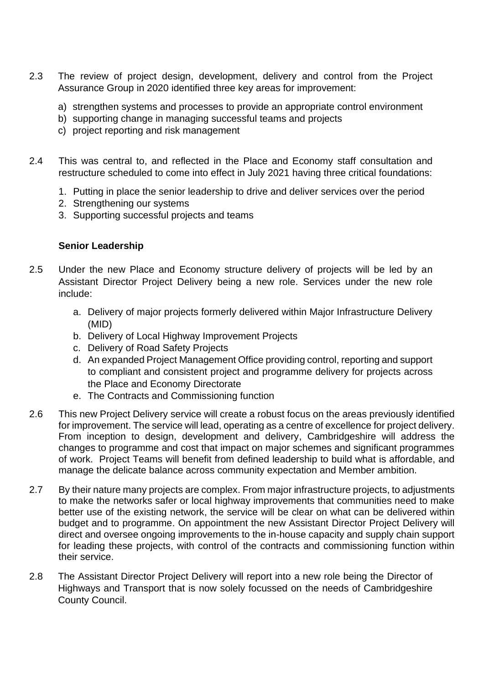- 2.3 The review of project design, development, delivery and control from the Project Assurance Group in 2020 identified three key areas for improvement:
	- a) strengthen systems and processes to provide an appropriate control environment
	- b) supporting change in managing successful teams and projects
	- c) project reporting and risk management
- 2.4 This was central to, and reflected in the Place and Economy staff consultation and restructure scheduled to come into effect in July 2021 having three critical foundations:
	- 1. Putting in place the senior leadership to drive and deliver services over the period
	- 2. Strengthening our systems
	- 3. Supporting successful projects and teams

#### **Senior Leadership**

- 2.5 Under the new Place and Economy structure delivery of projects will be led by an Assistant Director Project Delivery being a new role. Services under the new role include:
	- a. Delivery of major projects formerly delivered within Major Infrastructure Delivery (MID)
	- b. Delivery of Local Highway Improvement Projects
	- c. Delivery of Road Safety Projects
	- d. An expanded Project Management Office providing control, reporting and support to compliant and consistent project and programme delivery for projects across the Place and Economy Directorate
	- e. The Contracts and Commissioning function
- 2.6 This new Project Delivery service will create a robust focus on the areas previously identified for improvement. The service will lead, operating as a centre of excellence for project delivery. From inception to design, development and delivery, Cambridgeshire will address the changes to programme and cost that impact on major schemes and significant programmes of work. Project Teams will benefit from defined leadership to build what is affordable, and manage the delicate balance across community expectation and Member ambition.
- 2.7 By their nature many projects are complex. From major infrastructure projects, to adjustments to make the networks safer or local highway improvements that communities need to make better use of the existing network, the service will be clear on what can be delivered within budget and to programme. On appointment the new Assistant Director Project Delivery will direct and oversee ongoing improvements to the in-house capacity and supply chain support for leading these projects, with control of the contracts and commissioning function within their service.
- 2.8 The Assistant Director Project Delivery will report into a new role being the Director of Highways and Transport that is now solely focussed on the needs of Cambridgeshire County Council.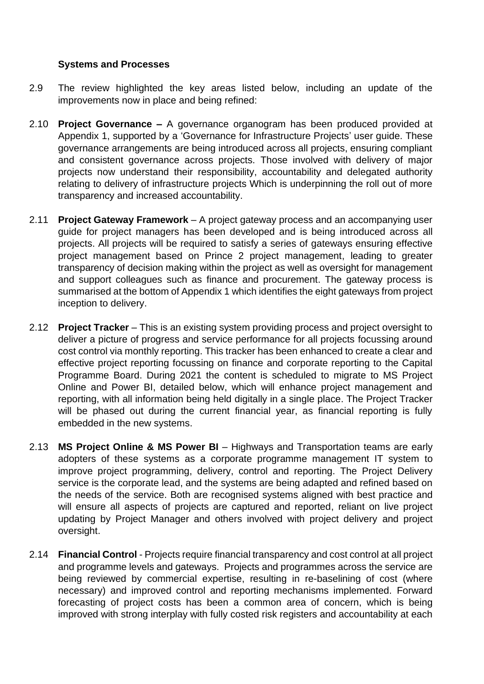#### **Systems and Processes**

- 2.9 The review highlighted the key areas listed below, including an update of the improvements now in place and being refined:
- 2.10 **Project Governance –** A governance organogram has been produced provided at Appendix 1, supported by a 'Governance for Infrastructure Projects' user guide. These governance arrangements are being introduced across all projects, ensuring compliant and consistent governance across projects. Those involved with delivery of major projects now understand their responsibility, accountability and delegated authority relating to delivery of infrastructure projects Which is underpinning the roll out of more transparency and increased accountability.
- 2.11 **Project Gateway Framework** A project gateway process and an accompanying user guide for project managers has been developed and is being introduced across all projects. All projects will be required to satisfy a series of gateways ensuring effective project management based on Prince 2 project management, leading to greater transparency of decision making within the project as well as oversight for management and support colleagues such as finance and procurement. The gateway process is summarised at the bottom of Appendix 1 which identifies the eight gateways from project inception to delivery.
- 2.12 **Project Tracker** This is an existing system providing process and project oversight to deliver a picture of progress and service performance for all projects focussing around cost control via monthly reporting. This tracker has been enhanced to create a clear and effective project reporting focussing on finance and corporate reporting to the Capital Programme Board. During 2021 the content is scheduled to migrate to MS Project Online and Power BI, detailed below, which will enhance project management and reporting, with all information being held digitally in a single place. The Project Tracker will be phased out during the current financial year, as financial reporting is fully embedded in the new systems.
- 2.13 **MS Project Online & MS Power BI** Highways and Transportation teams are early adopters of these systems as a corporate programme management IT system to improve project programming, delivery, control and reporting. The Project Delivery service is the corporate lead, and the systems are being adapted and refined based on the needs of the service. Both are recognised systems aligned with best practice and will ensure all aspects of projects are captured and reported, reliant on live project updating by Project Manager and others involved with project delivery and project oversight.
- 2.14 **Financial Control** Projects require financial transparency and cost control at all project and programme levels and gateways. Projects and programmes across the service are being reviewed by commercial expertise, resulting in re-baselining of cost (where necessary) and improved control and reporting mechanisms implemented. Forward forecasting of project costs has been a common area of concern, which is being improved with strong interplay with fully costed risk registers and accountability at each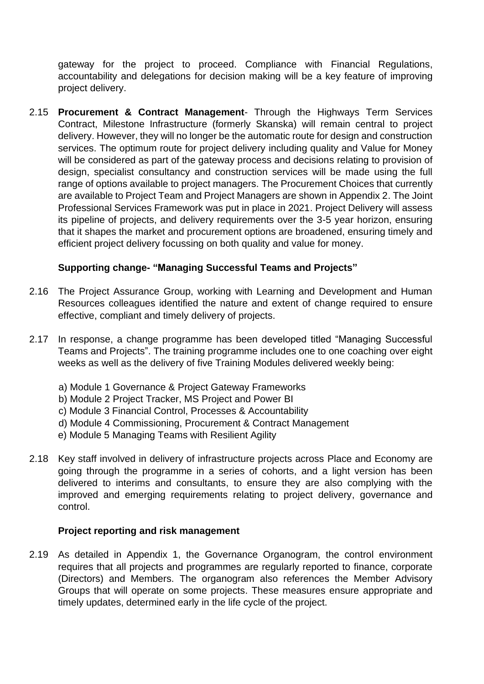gateway for the project to proceed. Compliance with Financial Regulations, accountability and delegations for decision making will be a key feature of improving project delivery.

2.15 **Procurement & Contract Management**- Through the Highways Term Services Contract, Milestone Infrastructure (formerly Skanska) will remain central to project delivery. However, they will no longer be the automatic route for design and construction services. The optimum route for project delivery including quality and Value for Money will be considered as part of the gateway process and decisions relating to provision of design, specialist consultancy and construction services will be made using the full range of options available to project managers. The Procurement Choices that currently are available to Project Team and Project Managers are shown in Appendix 2. The Joint Professional Services Framework was put in place in 2021. Project Delivery will assess its pipeline of projects, and delivery requirements over the 3-5 year horizon, ensuring that it shapes the market and procurement options are broadened, ensuring timely and efficient project delivery focussing on both quality and value for money.

#### **Supporting change- "Managing Successful Teams and Projects"**

- 2.16 The Project Assurance Group, working with Learning and Development and Human Resources colleagues identified the nature and extent of change required to ensure effective, compliant and timely delivery of projects.
- 2.17 In response, a change programme has been developed titled "Managing Successful Teams and Projects". The training programme includes one to one coaching over eight weeks as well as the delivery of five Training Modules delivered weekly being:
	- a) Module 1 Governance & Project Gateway Frameworks
	- b) Module 2 Project Tracker, MS Project and Power BI
	- c) Module 3 Financial Control, Processes & Accountability
	- d) Module 4 Commissioning, Procurement & Contract Management
	- e) Module 5 Managing Teams with Resilient Agility
- 2.18 Key staff involved in delivery of infrastructure projects across Place and Economy are going through the programme in a series of cohorts, and a light version has been delivered to interims and consultants, to ensure they are also complying with the improved and emerging requirements relating to project delivery, governance and control.

#### **Project reporting and risk management**

2.19 As detailed in Appendix 1, the Governance Organogram, the control environment requires that all projects and programmes are regularly reported to finance, corporate (Directors) and Members. The organogram also references the Member Advisory Groups that will operate on some projects. These measures ensure appropriate and timely updates, determined early in the life cycle of the project.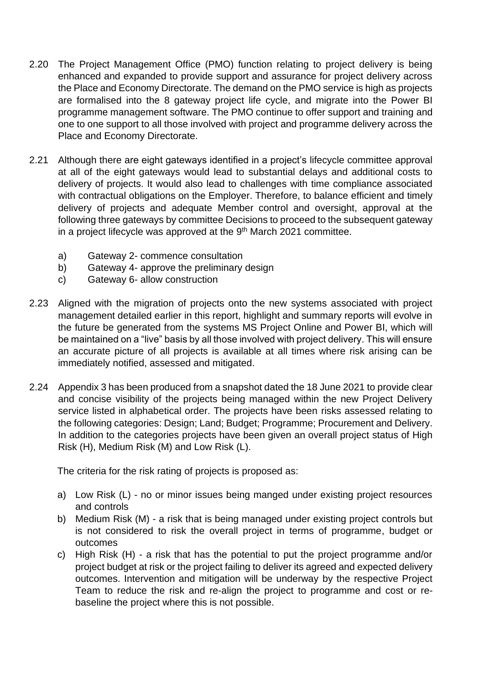- 2.20 The Project Management Office (PMO) function relating to project delivery is being enhanced and expanded to provide support and assurance for project delivery across the Place and Economy Directorate. The demand on the PMO service is high as projects are formalised into the 8 gateway project life cycle, and migrate into the Power BI programme management software. The PMO continue to offer support and training and one to one support to all those involved with project and programme delivery across the Place and Economy Directorate.
- 2.21 Although there are eight gateways identified in a project's lifecycle committee approval at all of the eight gateways would lead to substantial delays and additional costs to delivery of projects. It would also lead to challenges with time compliance associated with contractual obligations on the Employer. Therefore, to balance efficient and timely delivery of projects and adequate Member control and oversight, approval at the following three gateways by committee Decisions to proceed to the subsequent gateway in a project lifecycle was approved at the  $9<sup>th</sup>$  March 2021 committee.
	- a) Gateway 2- commence consultation
	- b) Gateway 4- approve the preliminary design
	- c) Gateway 6- allow construction
- 2.23 Aligned with the migration of projects onto the new systems associated with project management detailed earlier in this report, highlight and summary reports will evolve in the future be generated from the systems MS Project Online and Power BI, which will be maintained on a "live" basis by all those involved with project delivery. This will ensure an accurate picture of all projects is available at all times where risk arising can be immediately notified, assessed and mitigated.
- 2.24 Appendix 3 has been produced from a snapshot dated the 18 June 2021 to provide clear and concise visibility of the projects being managed within the new Project Delivery service listed in alphabetical order. The projects have been risks assessed relating to the following categories: Design; Land; Budget; Programme; Procurement and Delivery. In addition to the categories projects have been given an overall project status of High Risk (H), Medium Risk (M) and Low Risk (L).

The criteria for the risk rating of projects is proposed as:

- a) Low Risk (L) no or minor issues being manged under existing project resources and controls
- b) Medium Risk (M) a risk that is being managed under existing project controls but is not considered to risk the overall project in terms of programme, budget or outcomes
- c) High Risk (H) a risk that has the potential to put the project programme and/or project budget at risk or the project failing to deliver its agreed and expected delivery outcomes. Intervention and mitigation will be underway by the respective Project Team to reduce the risk and re-align the project to programme and cost or rebaseline the project where this is not possible.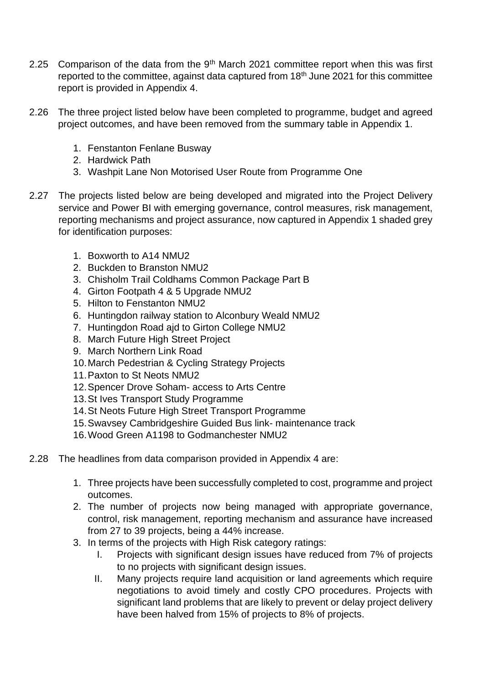- 2.25 Comparison of the data from the  $9<sup>th</sup>$  March 2021 committee report when this was first reported to the committee, against data captured from 18<sup>th</sup> June 2021 for this committee report is provided in Appendix 4.
- 2.26 The three project listed below have been completed to programme, budget and agreed project outcomes, and have been removed from the summary table in Appendix 1.
	- 1. Fenstanton Fenlane Busway
	- 2. Hardwick Path
	- 3. Washpit Lane Non Motorised User Route from Programme One
- 2.27 The projects listed below are being developed and migrated into the Project Delivery service and Power BI with emerging governance, control measures, risk management, reporting mechanisms and project assurance, now captured in Appendix 1 shaded grey for identification purposes:
	- 1. Boxworth to A14 NMU2
	- 2. Buckden to Branston NMU2
	- 3. Chisholm Trail Coldhams Common Package Part B
	- 4. Girton Footpath 4 & 5 Upgrade NMU2
	- 5. Hilton to Fenstanton NMU2
	- 6. Huntingdon railway station to Alconbury Weald NMU2
	- 7. Huntingdon Road ajd to Girton College NMU2
	- 8. March Future High Street Project
	- 9. March Northern Link Road
	- 10.March Pedestrian & Cycling Strategy Projects
	- 11.Paxton to St Neots NMU2
	- 12.Spencer Drove Soham- access to Arts Centre
	- 13.St Ives Transport Study Programme
	- 14.St Neots Future High Street Transport Programme
	- 15.Swavsey Cambridgeshire Guided Bus link- maintenance track
	- 16.Wood Green A1198 to Godmanchester NMU2
- 2.28 The headlines from data comparison provided in Appendix 4 are:
	- 1. Three projects have been successfully completed to cost, programme and project outcomes.
	- 2. The number of projects now being managed with appropriate governance, control, risk management, reporting mechanism and assurance have increased from 27 to 39 projects, being a 44% increase.
	- 3. In terms of the projects with High Risk category ratings:
		- I. Projects with significant design issues have reduced from 7% of projects to no projects with significant design issues.
		- II. Many projects require land acquisition or land agreements which require negotiations to avoid timely and costly CPO procedures. Projects with significant land problems that are likely to prevent or delay project delivery have been halved from 15% of projects to 8% of projects.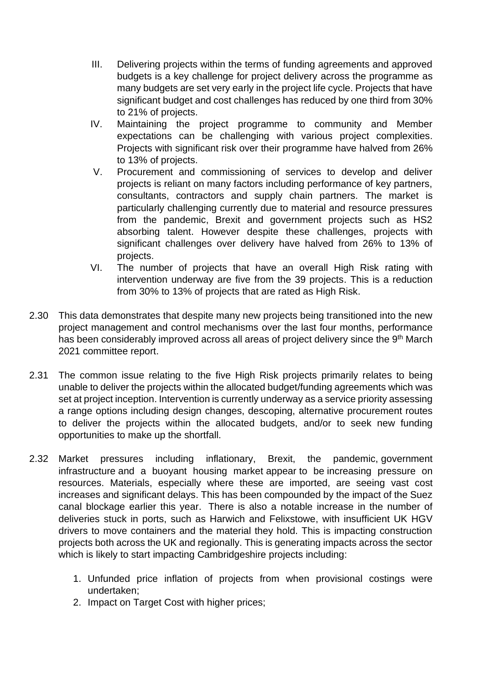- III. Delivering projects within the terms of funding agreements and approved budgets is a key challenge for project delivery across the programme as many budgets are set very early in the project life cycle. Projects that have significant budget and cost challenges has reduced by one third from 30% to 21% of projects.
- IV. Maintaining the project programme to community and Member expectations can be challenging with various project complexities. Projects with significant risk over their programme have halved from 26% to 13% of projects.
- V. Procurement and commissioning of services to develop and deliver projects is reliant on many factors including performance of key partners, consultants, contractors and supply chain partners. The market is particularly challenging currently due to material and resource pressures from the pandemic, Brexit and government projects such as HS2 absorbing talent. However despite these challenges, projects with significant challenges over delivery have halved from 26% to 13% of projects.
- VI. The number of projects that have an overall High Risk rating with intervention underway are five from the 39 projects. This is a reduction from 30% to 13% of projects that are rated as High Risk.
- 2.30 This data demonstrates that despite many new projects being transitioned into the new project management and control mechanisms over the last four months, performance has been considerably improved across all areas of project delivery since the 9th March 2021 committee report.
- 2.31 The common issue relating to the five High Risk projects primarily relates to being unable to deliver the projects within the allocated budget/funding agreements which was set at project inception. Intervention is currently underway as a service priority assessing a range options including design changes, descoping, alternative procurement routes to deliver the projects within the allocated budgets, and/or to seek new funding opportunities to make up the shortfall.
- 2.32 Market pressures including inflationary, Brexit, the pandemic, government infrastructure and a buoyant housing market appear to be increasing pressure on resources. Materials, especially where these are imported, are seeing vast cost increases and significant delays. This has been compounded by the impact of the Suez canal blockage earlier this year. There is also a notable increase in the number of deliveries stuck in ports, such as Harwich and Felixstowe, with insufficient UK HGV drivers to move containers and the material they hold. This is impacting construction projects both across the UK and regionally. This is generating impacts across the sector which is likely to start impacting Cambridgeshire projects including:
	- 1. Unfunded price inflation of projects from when provisional costings were undertaken;
	- 2. Impact on Target Cost with higher prices;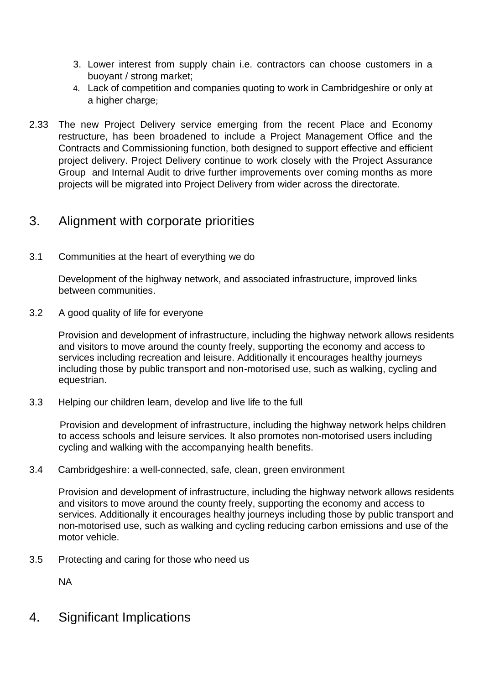- 3. Lower interest from supply chain i.e. contractors can choose customers in a buoyant / strong market;
- 4. Lack of competition and companies quoting to work in Cambridgeshire or only at a higher charge;
- 2.33 The new Project Delivery service emerging from the recent Place and Economy restructure, has been broadened to include a Project Management Office and the Contracts and Commissioning function, both designed to support effective and efficient project delivery. Project Delivery continue to work closely with the Project Assurance Group and Internal Audit to drive further improvements over coming months as more projects will be migrated into Project Delivery from wider across the directorate.

# 3. Alignment with corporate priorities

3.1 Communities at the heart of everything we do

Development of the highway network, and associated infrastructure, improved links between communities.

3.2 A good quality of life for everyone

Provision and development of infrastructure, including the highway network allows residents and visitors to move around the county freely, supporting the economy and access to services including recreation and leisure. Additionally it encourages healthy journeys including those by public transport and non-motorised use, such as walking, cycling and equestrian.

3.3 Helping our children learn, develop and live life to the full

Provision and development of infrastructure, including the highway network helps children to access schools and leisure services. It also promotes non-motorised users including cycling and walking with the accompanying health benefits.

#### 3.4 Cambridgeshire: a well-connected, safe, clean, green environment

Provision and development of infrastructure, including the highway network allows residents and visitors to move around the county freely, supporting the economy and access to services. Additionally it encourages healthy journeys including those by public transport and non-motorised use, such as walking and cycling reducing carbon emissions and use of the motor vehicle.

3.5 Protecting and caring for those who need us

NA

4. Significant Implications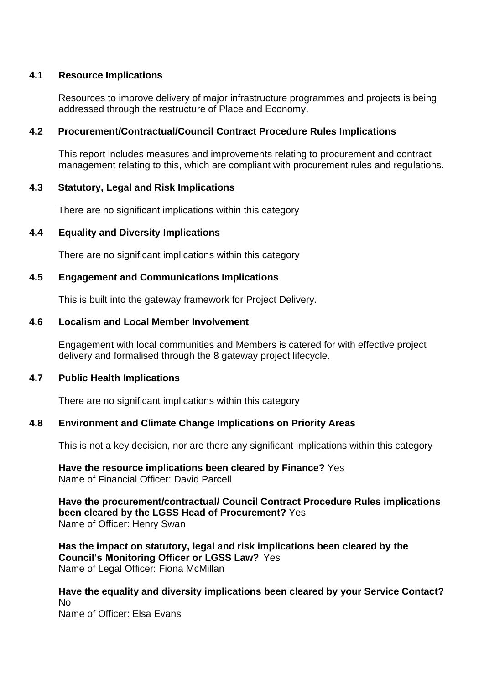#### **4.1 Resource Implications**

Resources to improve delivery of major infrastructure programmes and projects is being addressed through the restructure of Place and Economy.

#### **4.2 Procurement/Contractual/Council Contract Procedure Rules Implications**

This report includes measures and improvements relating to procurement and contract management relating to this, which are compliant with procurement rules and regulations.

#### **4.3 Statutory, Legal and Risk Implications**

There are no significant implications within this category

#### **4.4 Equality and Diversity Implications**

There are no significant implications within this category

#### **4.5 Engagement and Communications Implications**

This is built into the gateway framework for Project Delivery.

#### **4.6 Localism and Local Member Involvement**

Engagement with local communities and Members is catered for with effective project delivery and formalised through the 8 gateway project lifecycle.

#### **4.7 Public Health Implications**

There are no significant implications within this category

#### **4.8 Environment and Climate Change Implications on Priority Areas**

This is not a key decision, nor are there any significant implications within this category

**Have the resource implications been cleared by Finance?** Yes Name of Financial Officer: David Parcell

**Have the procurement/contractual/ Council Contract Procedure Rules implications been cleared by the LGSS Head of Procurement?** Yes Name of Officer: Henry Swan

**Has the impact on statutory, legal and risk implications been cleared by the Council's Monitoring Officer or LGSS Law?** Yes Name of Legal Officer: Fiona McMillan

**Have the equality and diversity implications been cleared by your Service Contact?** No Name of Officer: Elsa Evans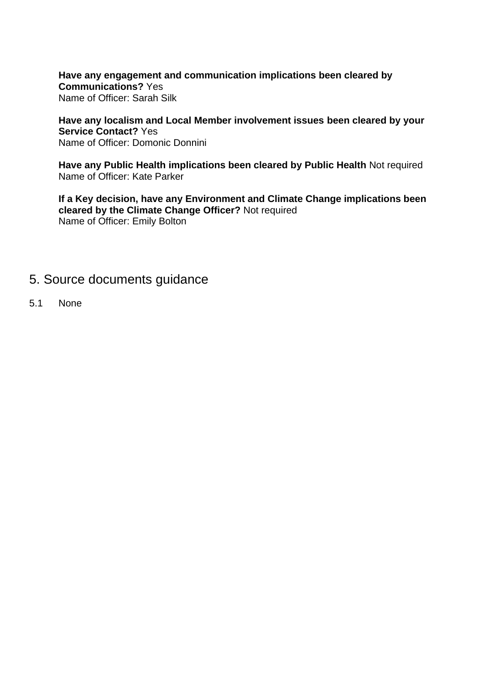**Have any engagement and communication implications been cleared by Communications?** Yes Name of Officer: Sarah Silk

**Have any localism and Local Member involvement issues been cleared by your Service Contact?** Yes Name of Officer: Domonic Donnini

**Have any Public Health implications been cleared by Public Health** Not required Name of Officer: Kate Parker

**If a Key decision, have any Environment and Climate Change implications been cleared by the Climate Change Officer?** Not required Name of Officer: Emily Bolton

### 5. Source documents guidance

5.1 None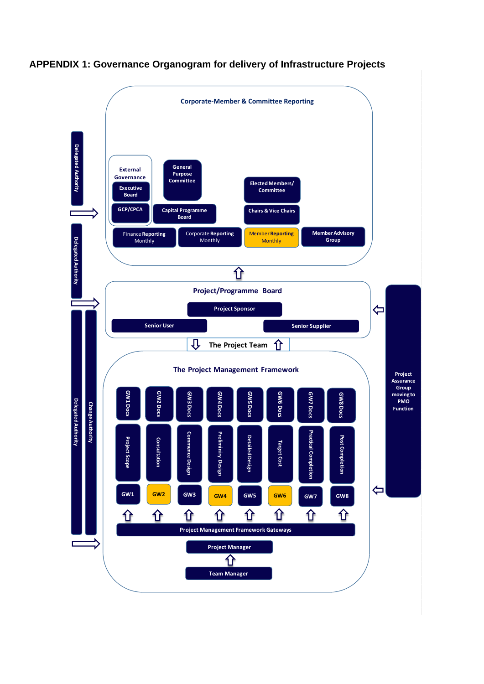

#### **APPENDIX 1: Governance Organogram for delivery of Infrastructure Projects**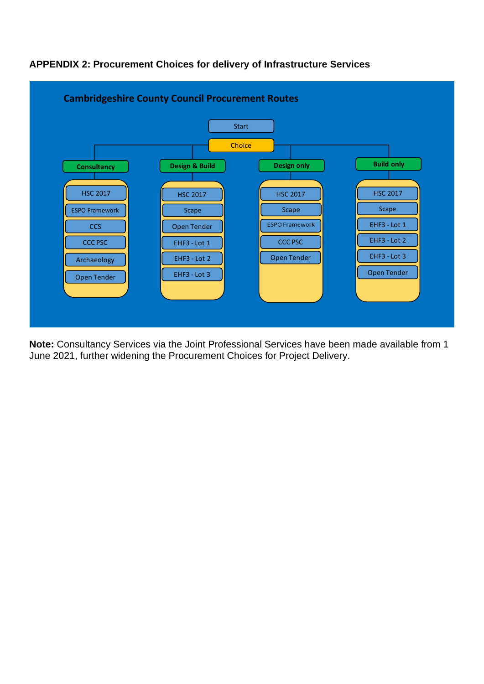

### **APPENDIX 2: Procurement Choices for delivery of Infrastructure Services**

**Note:** Consultancy Services via the Joint Professional Services have been made available from 1 June 2021, further widening the Procurement Choices for Project Delivery.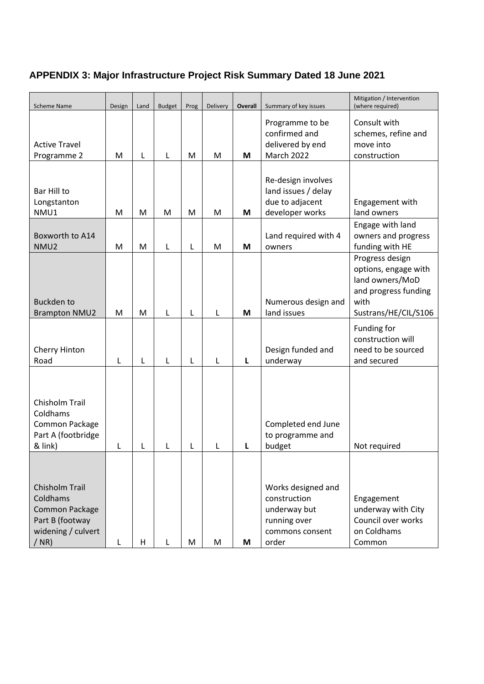# **APPENDIX 3: Major Infrastructure Project Risk Summary Dated 18 June 2021**

| <b>Scheme Name</b>                                                                                      | Design | Land | <b>Budget</b> | Prog | <b>Delivery</b> | Overall | Summary of key issues                                                                                                                 | Mitigation / Intervention<br>(where required)                                   |  |  |
|---------------------------------------------------------------------------------------------------------|--------|------|---------------|------|-----------------|---------|---------------------------------------------------------------------------------------------------------------------------------------|---------------------------------------------------------------------------------|--|--|
| <b>Active Travel</b><br>Programme 2                                                                     | M      | L    | L             | M    | M               | M       | Programme to be<br>confirmed and<br>delivered by end<br>March 2022                                                                    | Consult with<br>schemes, refine and<br>move into<br>construction                |  |  |
|                                                                                                         |        |      |               |      |                 |         | Re-design involves                                                                                                                    |                                                                                 |  |  |
| Bar Hill to<br>Longstanton<br>NMU1                                                                      | M      | M    | M             | M    | M               | M       | land issues / delay<br>due to adjacent<br>developer works                                                                             | Engagement with<br>land owners                                                  |  |  |
| Boxworth to A14<br>NMU <sub>2</sub>                                                                     | M      | M    | L             | L    | M               | M       | Land required with 4<br>owners                                                                                                        | Engage with land<br>owners and progress                                         |  |  |
| <b>Buckden to</b><br><b>Brampton NMU2</b>                                                               | M      | M    | L             | L    | L               | M       | funding with HE<br>Progress design<br>options, engage with<br>land owners/MoD<br>and progress funding<br>with<br>Sustrans/HE/CIL/S106 |                                                                                 |  |  |
| Cherry Hinton<br>Road                                                                                   | L      | L    | L             | L    | L               | L       | Design funded and<br>underway                                                                                                         | Funding for<br>construction will<br>need to be sourced<br>and secured           |  |  |
| Chisholm Trail<br>Coldhams<br>Common Package<br>Part A (footbridge<br>& link)                           | L      | L    |               | L    | L               | L       | Completed end June<br>to programme and<br>budget                                                                                      | Not required                                                                    |  |  |
| Chisholm Trail<br>Coldhams<br><b>Common Package</b><br>Part B (footway<br>widening / culvert<br>$/$ NR) | L      | H    |               | M    | M               | M       | Works designed and<br>construction<br>underway but<br>running over<br>commons consent<br>order                                        | Engagement<br>underway with City<br>Council over works<br>on Coldhams<br>Common |  |  |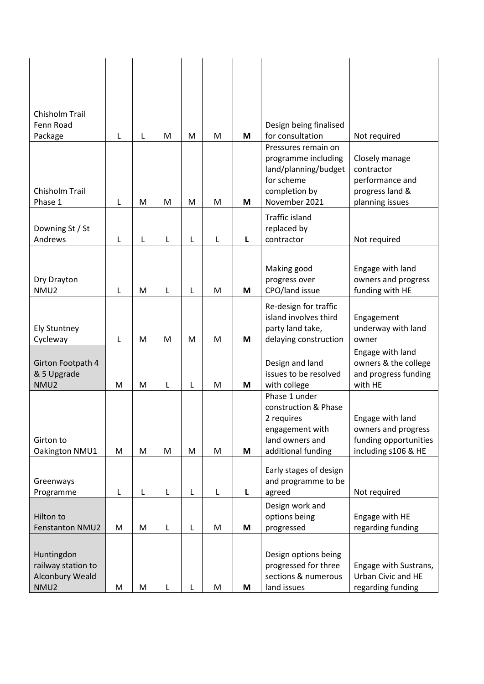| <b>Chisholm Trail</b><br>Fenn Road<br>Package                      | L | L | M | M | M | M | Design being finalised<br>for consultation<br>Pressures remain on                                               | Not required                                                                            |
|--------------------------------------------------------------------|---|---|---|---|---|---|-----------------------------------------------------------------------------------------------------------------|-----------------------------------------------------------------------------------------|
| Chisholm Trail<br>Phase 1                                          | L | M | M | M | M | M | programme including<br>land/planning/budget<br>for scheme<br>completion by<br>November 2021                     | Closely manage<br>contractor<br>performance and<br>progress land &<br>planning issues   |
| Downing St / St<br>Andrews                                         | L | L | L | L | L | L | <b>Traffic island</b><br>replaced by<br>contractor                                                              | Not required                                                                            |
| Dry Drayton<br>NMU <sub>2</sub>                                    | L | M | Г | L | M | M | Making good<br>progress over<br>CPO/land issue                                                                  | Engage with land<br>owners and progress<br>funding with HE                              |
| <b>Ely Stuntney</b><br>Cycleway                                    | L | M | M | M | M | M | Re-design for traffic<br>island involves third<br>party land take,<br>delaying construction                     | Engagement<br>underway with land<br>owner                                               |
| Girton Footpath 4<br>& 5 Upgrade<br>NMU2                           | M | M | L | L | M | M | Design and land<br>issues to be resolved<br>with college                                                        | Engage with land<br>owners & the college<br>and progress funding<br>with HE             |
| Girton to<br>Oakington NMU1                                        | M | M | M | M | M | M | Phase 1 under<br>construction & Phase<br>2 requires<br>engagement with<br>land owners and<br>additional funding | Engage with land<br>owners and progress<br>funding opportunities<br>including s106 & HE |
| Greenways<br>Programme                                             | L | L | L | L | L | Г | Early stages of design<br>and programme to be<br>agreed                                                         | Not required                                                                            |
| Hilton to<br><b>Fenstanton NMU2</b>                                | M | M | L | L | M | M | Design work and<br>options being<br>progressed                                                                  | Engage with HE<br>regarding funding                                                     |
| Huntingdon<br>railway station to<br><b>Alconbury Weald</b><br>NMU2 | M | M | L | L | M | M | Design options being<br>progressed for three<br>sections & numerous<br>land issues                              | Engage with Sustrans,<br>Urban Civic and HE<br>regarding funding                        |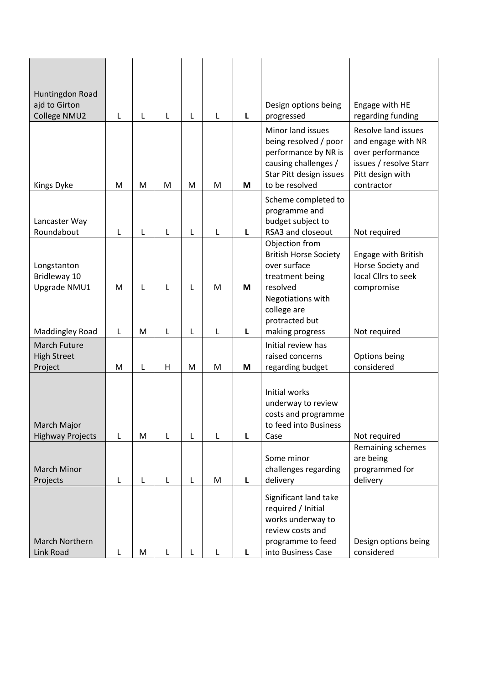| Huntingdon Road                |   |   |   |   |   |   |                                                                                                                                         |                                                                                                                           |  |  |
|--------------------------------|---|---|---|---|---|---|-----------------------------------------------------------------------------------------------------------------------------------------|---------------------------------------------------------------------------------------------------------------------------|--|--|
| ajd to Girton                  |   |   |   |   |   |   | Design options being                                                                                                                    | Engage with HE                                                                                                            |  |  |
| College NMU2                   | L | L | L | L | L | L | progressed                                                                                                                              | regarding funding                                                                                                         |  |  |
| Kings Dyke                     | M | M | M | M | M | M | Minor land issues<br>being resolved / poor<br>performance by NR is<br>causing challenges /<br>Star Pitt design issues<br>to be resolved | Resolve land issues<br>and engage with NR<br>over performance<br>issues / resolve Starr<br>Pitt design with<br>contractor |  |  |
|                                |   |   |   |   |   |   | Scheme completed to                                                                                                                     |                                                                                                                           |  |  |
|                                |   |   |   |   |   |   | programme and                                                                                                                           |                                                                                                                           |  |  |
| Lancaster Way<br>Roundabout    |   | L | L | L | L | L | budget subject to<br>RSA3 and closeout                                                                                                  |                                                                                                                           |  |  |
|                                | L |   |   |   |   |   | Objection from                                                                                                                          | Not required                                                                                                              |  |  |
|                                |   |   |   |   |   |   | <b>British Horse Society</b>                                                                                                            | Engage with British                                                                                                       |  |  |
| Longstanton                    |   |   |   |   |   |   | over surface                                                                                                                            | Horse Society and                                                                                                         |  |  |
| Bridleway 10                   |   |   |   |   |   |   | treatment being                                                                                                                         | local Cllrs to seek                                                                                                       |  |  |
| Upgrade NMU1                   | M | L | L | L | M | M | resolved<br>Negotiations with                                                                                                           | compromise                                                                                                                |  |  |
|                                |   |   |   |   |   |   | college are                                                                                                                             |                                                                                                                           |  |  |
|                                |   |   |   |   |   |   | protracted but                                                                                                                          |                                                                                                                           |  |  |
| Maddingley Road                | L | M | L | L | L | Г | making progress                                                                                                                         | Not required                                                                                                              |  |  |
| March Future                   |   |   |   |   |   |   | Initial review has                                                                                                                      |                                                                                                                           |  |  |
| <b>High Street</b>             |   |   | н |   | M |   | raised concerns                                                                                                                         | Options being<br>considered                                                                                               |  |  |
| Project                        | M | L |   | M |   | M | regarding budget                                                                                                                        |                                                                                                                           |  |  |
| March Major                    |   |   |   |   |   |   | Initial works<br>underway to review<br>costs and programme<br>to feed into Business                                                     |                                                                                                                           |  |  |
| <b>Highway Projects</b>        | L | M | L | L | L | L | Case                                                                                                                                    | Not required                                                                                                              |  |  |
|                                |   |   |   |   |   |   |                                                                                                                                         | Remaining schemes                                                                                                         |  |  |
|                                |   |   |   |   |   |   | Some minor                                                                                                                              | are being                                                                                                                 |  |  |
| <b>March Minor</b><br>Projects | L | L | L | L | M | L | challenges regarding<br>delivery                                                                                                        | programmed for<br>delivery                                                                                                |  |  |
|                                |   |   |   |   |   |   |                                                                                                                                         |                                                                                                                           |  |  |
|                                |   |   |   |   |   |   | Significant land take<br>required / Initial<br>works underway to<br>review costs and                                                    |                                                                                                                           |  |  |
| March Northern                 |   |   |   |   |   |   | programme to feed                                                                                                                       | Design options being                                                                                                      |  |  |
| Link Road                      | L | M |   |   |   |   | into Business Case                                                                                                                      | considered                                                                                                                |  |  |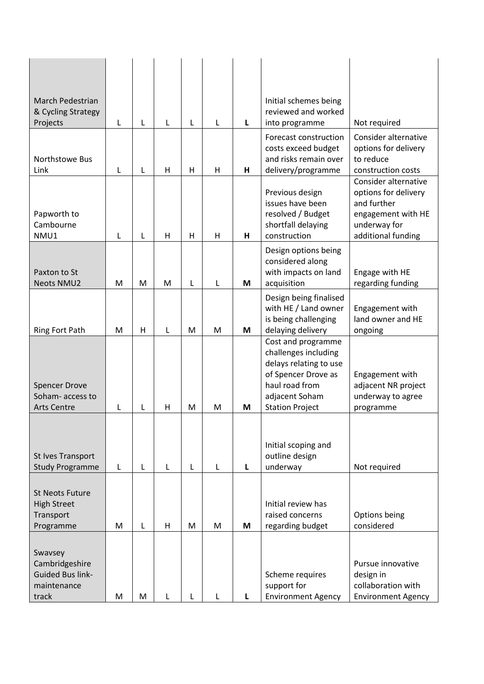| <b>March Pedestrian</b><br>& Cycling Strategy                                |   |   |   |   |   |   | Initial schemes being<br>reviewed and worked                                                                                                              |                                                                                                                         |  |  |  |
|------------------------------------------------------------------------------|---|---|---|---|---|---|-----------------------------------------------------------------------------------------------------------------------------------------------------------|-------------------------------------------------------------------------------------------------------------------------|--|--|--|
| Projects                                                                     | L | L | L | L | L | L | into programme                                                                                                                                            | Not required                                                                                                            |  |  |  |
| Northstowe Bus<br>Link                                                       | L | L | H | H | H | н | Forecast construction<br>costs exceed budget<br>and risks remain over<br>delivery/programme                                                               | Consider alternative<br>options for delivery<br>to reduce<br>construction costs                                         |  |  |  |
| Papworth to<br>Cambourne<br>NMU1                                             | L | L | Н | Н | Н | н | Previous design<br>issues have been<br>resolved / Budget<br>shortfall delaying<br>construction                                                            | Consider alternative<br>options for delivery<br>and further<br>engagement with HE<br>underway for<br>additional funding |  |  |  |
| Paxton to St<br><b>Neots NMU2</b>                                            | M | M | M | L | L | M | Design options being<br>considered along<br>with impacts on land<br>acquisition                                                                           | Engage with HE<br>regarding funding                                                                                     |  |  |  |
| <b>Ring Fort Path</b>                                                        | M | H | L | M | M | M | Design being finalised<br>with HE / Land owner<br>is being challenging<br>delaying delivery                                                               | Engagement with<br>land owner and HE<br>ongoing                                                                         |  |  |  |
| <b>Spencer Drove</b><br>Soham-access to<br><b>Arts Centre</b>                | L | L | H | M | M | М | Cost and programme<br>challenges including<br>delays relating to use<br>of Spencer Drove as<br>haul road from<br>adjacent Soham<br><b>Station Project</b> | Engagement with<br>adjacent NR project<br>underway to agree<br>programme                                                |  |  |  |
| St Ives Transport<br><b>Study Programme</b>                                  | L | L | L | L | L | L | Initial scoping and<br>outline design<br>underway                                                                                                         | Not required                                                                                                            |  |  |  |
| <b>St Neots Future</b><br><b>High Street</b><br>Transport<br>Programme       | M | L | H | M | M | M | Initial review has<br>raised concerns<br>regarding budget                                                                                                 | Options being<br>considered                                                                                             |  |  |  |
| Swavsey<br>Cambridgeshire<br><b>Guided Bus link-</b><br>maintenance<br>track | M | M | L | L | L | L | Scheme requires<br>support for<br><b>Environment Agency</b>                                                                                               | Pursue innovative<br>design in<br>collaboration with<br><b>Environment Agency</b>                                       |  |  |  |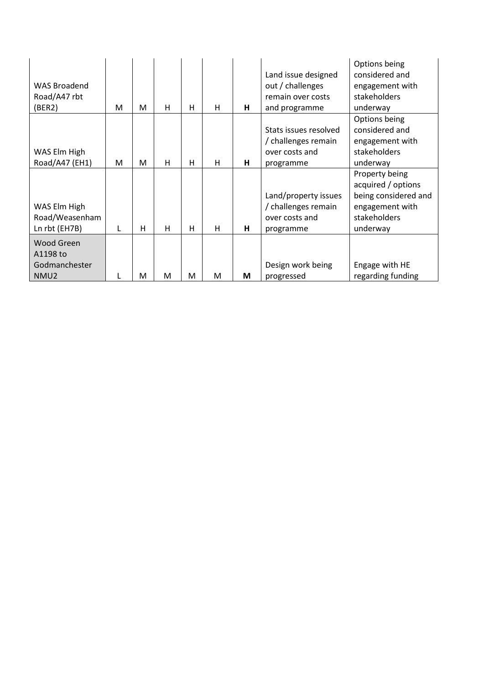| <b>WAS Broadend</b><br>Road/A47 rbt<br>(BER2)                      | M | м | H | н | H | н | Land issue designed<br>out / challenges<br>remain over costs<br>and programme | Options being<br>considered and<br>engagement with<br>stakeholders<br>underway                              |
|--------------------------------------------------------------------|---|---|---|---|---|---|-------------------------------------------------------------------------------|-------------------------------------------------------------------------------------------------------------|
| WAS Elm High<br>Road/A47 (EH1)                                     | M | M | H | н | H | н | Stats issues resolved<br>/ challenges remain<br>over costs and<br>programme   | Options being<br>considered and<br>engagement with<br>stakeholders<br>underway                              |
| WAS Elm High<br>Road/Weasenham<br>Ln rbt (EH7B)                    | L | н | H | н | H | н | Land/property issues<br>/ challenges remain<br>over costs and<br>programme    | Property being<br>acquired / options<br>being considered and<br>engagement with<br>stakeholders<br>underway |
| <b>Wood Green</b><br>A1198 to<br>Godmanchester<br>NMU <sub>2</sub> |   | M | M | M | M | M | Design work being<br>progressed                                               | Engage with HE<br>regarding funding                                                                         |